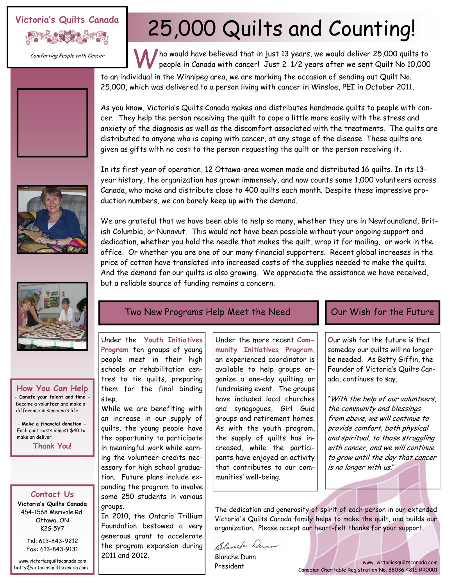## **Victoria's Quilts Canada**



Comforting People with Cancer

# 25,000 Quilts and Counting!

Who would have believed that in just 13 years, we would deliver 25,000 quilts to people in Canada with cancer! Just 2 1/2 years after we sent Quilt No 10,000

to an individual in the Winnipeg area, we are marking the occasion of sending out Quilt No. 25,000, which was delivered to a person living with cancer in Winsloe, PEI in October 2011.

As you know, Victoria's Quilts Canada makes and distributes handmade quilts to people with cancer. They help the person receiving the quilt to cope a little more easily with the stress and anxiety of the diagnosis as well as the discomfort associated with the treatments. The quilts are distributed to anyone who is coping with cancer, at any stage of the disease. These quilts are given as gifts with no cost to the person requesting the quilt or the person receiving it.

In its first year of operation, 12 Ottawa-area women made and distributed 16 quilts. In its 13 year history, the organization has grown immensely, and now counts some 1,000 volunteers across Canada, who make and distribute close to 400 quilts each month. Despite these impressive production numbers, we can barely keep up with the demand.

We are grateful that we have been able to help so many, whether they are in Newfoundland, British Columbia, or Nunavut. This would not have been possible without your ongoing support and dedication, whether you hold the needle that makes the quilt, wrap it for mailing, or work in the office. Or whether you are one of our many financial supporters. Recent global increases in the price of cotton have translated into increased costs of the supplies needed to make the quilts. And the demand for our quilts is also growing. We appreciate the assistance we have received, but a reliable source of funding remains a concern.



**How You Can Help - Donate your talent and time -**  Become a volunteer and make a difference in someone's life.

step.

groups.

2011 and 2012.

tion. Future plans include expanding the program to involve some 250 students in various

In 2010, the Ontario Trillium Foundation bestowed a very generous grant to accelerate the program expansion during

- **Make a financial donation -**  Each quilt costs almost \$40 to make an deliver.

**Thank You!** 

### **Contact Us**

**Victoria's Quilts Canada**  454-1568 Merivale Rd. Ottawa, ON K2G 5Y7

> Tel: 613-843-9212 Fax: 613-843-9131

www.victoriasquiltscanada.com betty@victoriasquiltscanada.com

### Two New Programs Help Meet the Need  $\Box$  Our Wish for the Future

Under the **Youth Initiatives Program** ten groups of young people meet in their high schools or rehabilitation centres to tie quilts, preparing them for the final binding While we are benefiting with an increase in our supply of quilts, the young people have the opportunity to participate in meaningful work while earning the volunteer credits necessary for high school gradua-Under the more recent **Community Initiatives Program**, an experienced coordinator is available to help groups organize a one-day quilting or fundraising event. The groups have included local churches and synagogues, Girl Guid groups and retirement homes. As with the youth program, the supply of quilts has increased, while the participants have enjoyed an activity that contributes to our com-

**O**ur wish for the future is that someday our quilts will no longer be needed. As Betty Giffin, the Founder of Victoria's Quilts Canada, continues to say,

"With the help of our volunteers, the community and blessings from above, we will continue to provide comfort, both physical and spiritual, to those struggling with cancer, and we will continue to grow until the day that cancer is no longer with us."

The dedication and generosity of spirit of each person in our extended Victoria's Quilts Canada family helps to make the quilt, and builds our organization. Please accept our heart-felt thanks for your support.

Blanck Dunn

munities' well-being.

Blanche Dunn President